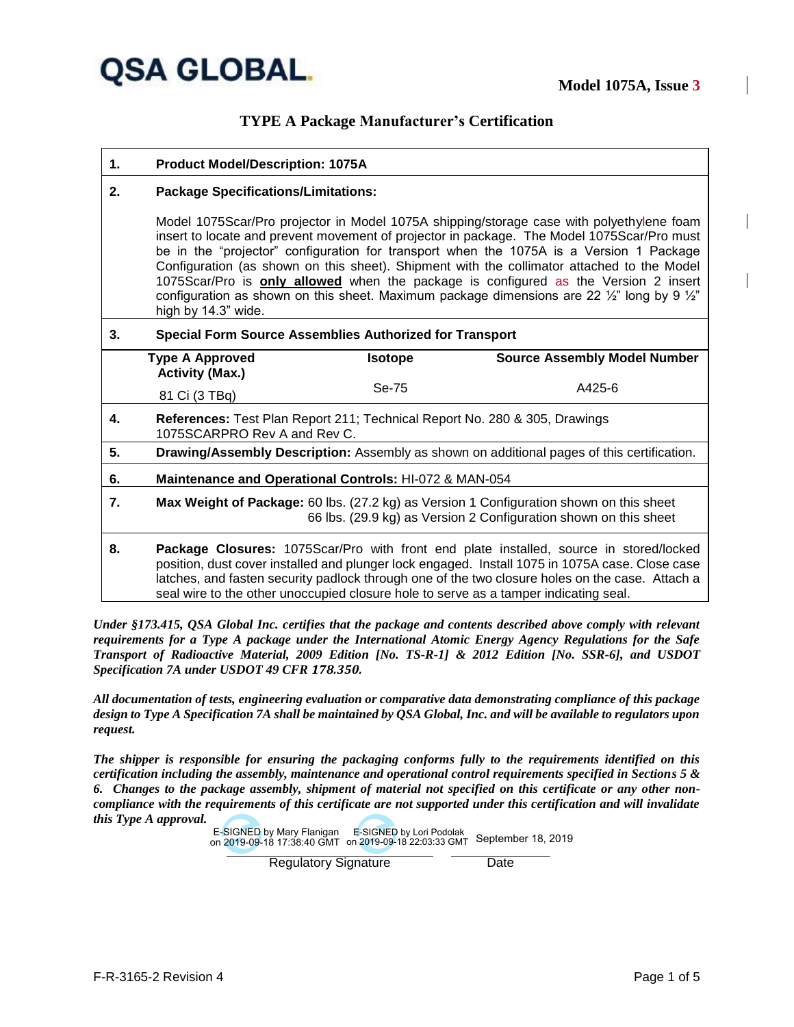

### **TYPE A Package Manufacturer's Certification**

| <b>Product Model/Description: 1075A</b><br>-1. |
|------------------------------------------------|
|------------------------------------------------|

#### **2. Package Specifications/Limitations:**

Model 1075Scar/Pro projector in Model 1075A shipping/storage case with polyethylene foam insert to locate and prevent movement of projector in package. The Model 1075Scar/Pro must be in the "projector" configuration for transport when the 1075A is a Version 1 Package Configuration (as shown on this sheet). Shipment with the collimator attached to the Model 1075Scar/Pro is **only allowed** when the package is configured as the Version 2 insert configuration as shown on this sheet. Maximum package dimensions are 22  $\frac{1}{2}$ " long by 9  $\frac{1}{2}$ " high by 14.3" wide.

#### **3. Special Form Source Assemblies Authorized for Transport**

|    | <b>Type A Approved</b><br><b>Activity (Max.)</b>                                                                                                                                                                                                                                                                                                                                     | <b>Isotope</b> | <b>Source Assembly Model Number</b> |  |  |
|----|--------------------------------------------------------------------------------------------------------------------------------------------------------------------------------------------------------------------------------------------------------------------------------------------------------------------------------------------------------------------------------------|----------------|-------------------------------------|--|--|
|    | 81 Ci (3 TBq)                                                                                                                                                                                                                                                                                                                                                                        | Se-75          | A425-6                              |  |  |
| 4. | References: Test Plan Report 211; Technical Report No. 280 & 305, Drawings<br>1075SCARPRO Rev A and Rev C.                                                                                                                                                                                                                                                                           |                |                                     |  |  |
| 5. | Drawing/Assembly Description: Assembly as shown on additional pages of this certification.                                                                                                                                                                                                                                                                                           |                |                                     |  |  |
| 6. | <b>Maintenance and Operational Controls: HI-072 &amp; MAN-054</b>                                                                                                                                                                                                                                                                                                                    |                |                                     |  |  |
| 7. | Max Weight of Package: 60 lbs. (27.2 kg) as Version 1 Configuration shown on this sheet<br>66 lbs. (29.9 kg) as Version 2 Configuration shown on this sheet                                                                                                                                                                                                                          |                |                                     |  |  |
| 8. | Package Closures: 1075Scar/Pro with front end plate installed, source in stored/locked<br>position, dust cover installed and plunger lock engaged. Install 1075 in 1075A case. Close case<br>latches, and fasten security padlock through one of the two closure holes on the case. Attach a<br>seal wire to the other unoccupied closure hole to serve as a tamper indicating seal. |                |                                     |  |  |

*Under §173.415, QSA Global Inc. certifies that the package and contents described above comply with relevant requirements for a Type A package under the International Atomic Energy Agency Regulations for the Safe Transport of Radioactive Material, 2009 Edition [No. TS-R-1] & 2012 Edition [No. SSR-6], and USDOT Specification 7A under USDOT 49 CFR 178.350.*

*All documentation of tests, engineering evaluation or comparative data demonstrating compliance of this package design to Type A Specification 7A shall be maintained by QSA Global, Inc. and will be available to regulators upon request.* 

*The shipper is responsible for ensuring the packaging conforms fully to the requirements identified on this certification including the assembly, maintenance and operational control requirements specified in Sections 5 & 6. Changes to the package assembly, shipment of material not specified on this certificate or any other noncompliance with the requirements of this certificate are not supported under this certification and will invalidate this Type A approval.*

> E-SIGNED by Mary Flanigan E-SIGNED by Lori Podolak on 2019-09-18 17:38:40 GMT September 18, 2019 on 2019-09-18 22:03:33 GMT

> > Regulatory Signature **Date**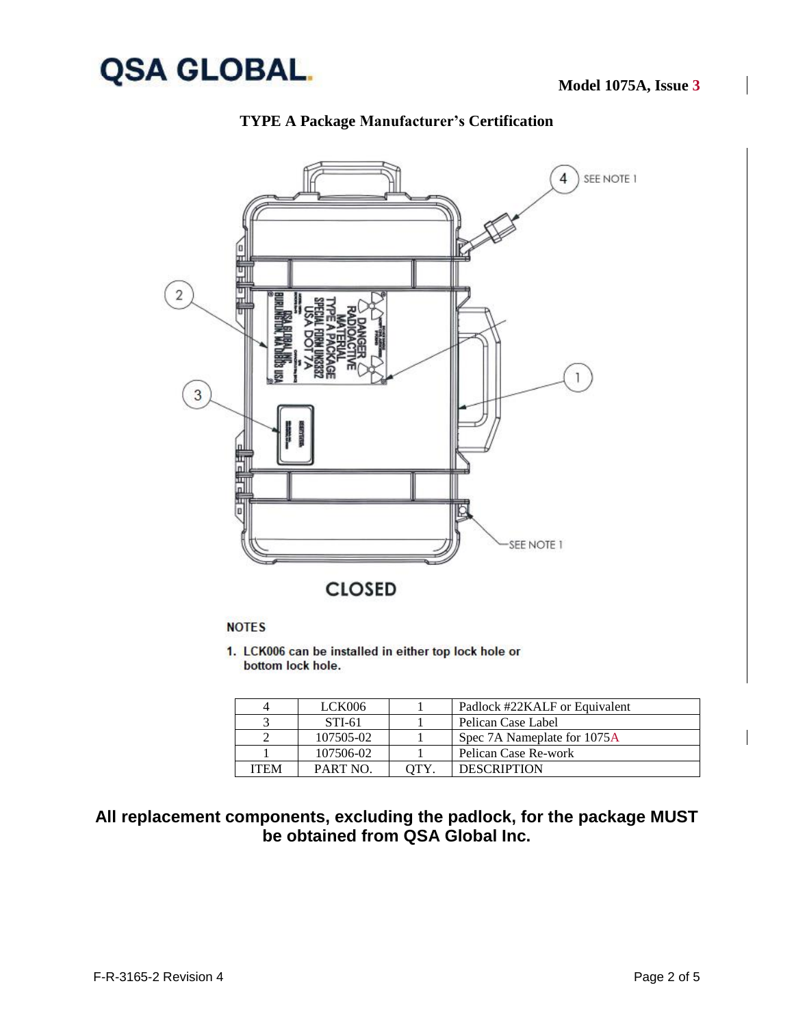



### **TYPE A Package Manufacturer's Certification**

### **NOTES**

1. LCK006 can be installed in either top lock hole or bottom lock hole.

| 4    | LCK006          | Padlock #22KALF or Equivalent |
|------|-----------------|-------------------------------|
|      | STI-61          | Pelican Case Label            |
|      | 107505-02       | Spec 7A Nameplate for 1075A   |
|      | 107506-02       | Pelican Case Re-work          |
| ITEM | <b>PART NO.</b> | <b>DESCRIPTION</b>            |

# **All replacement components, excluding the padlock, for the package MUST be obtained from QSA Global Inc.**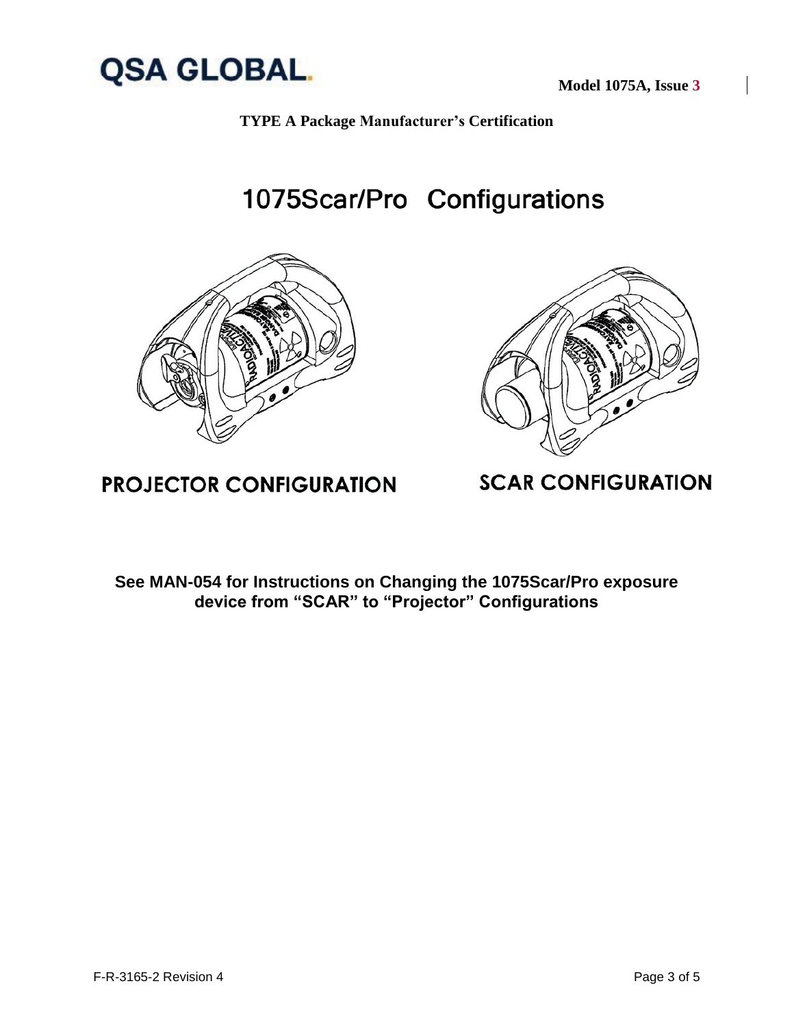

**Model 1075A, Issue 3**



1075Scar/Pro Configurations





# **PROJECTOR CONFIGURATION**

**SCAR CONFIGURATION** 

**See MAN-054 for Instructions on Changing the 1075Scar/Pro exposure device from "SCAR" to "Projector" Configurations**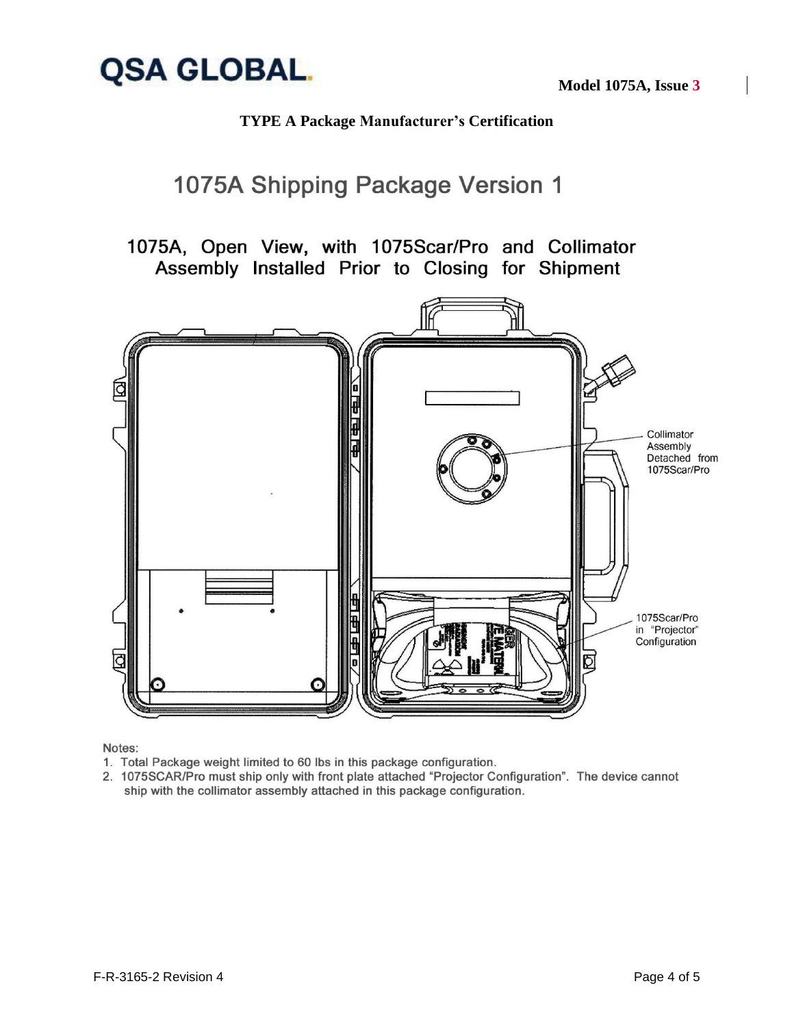

**Model 1075A, Issue 3**

## **TYPE A Package Manufacturer's Certification**

# 1075A Shipping Package Version 1

1075A, Open View, with 1075Scar/Pro and Collimator Assembly Installed Prior to Closing for Shipment



Notes:

- 1. Total Package weight limited to 60 lbs in this package configuration.
- 2. 1075SCAR/Pro must ship only with front plate attached "Projector Configuration". The device cannot ship with the collimator assembly attached in this package configuration.